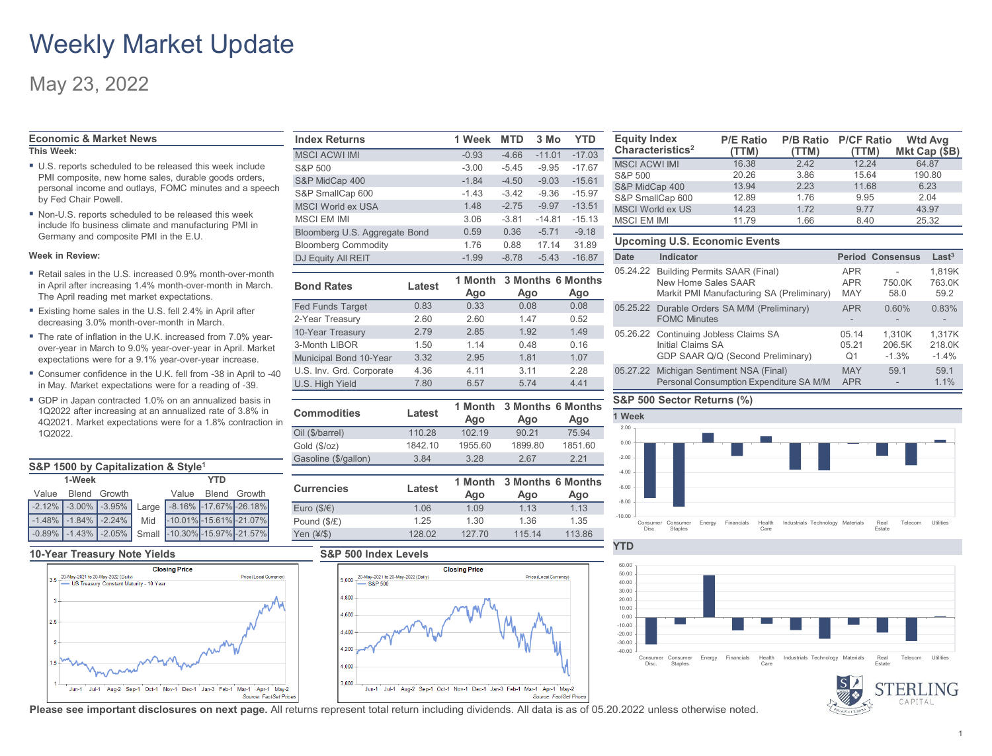## Weekly Market Update

### May 23, 2022

### **Economic & Market News**

- **This Week:**
- U.S. reports scheduled to be released this week include PMI composite, new home sales, durable goods orders, personal income and outlays, FOMC minutes and a speech by Fed Chair Powell.
- Non-U.S. reports scheduled to be released this week include Ifo business climate and manufacturing PMI in Germany and composite PMI in the E.U.

#### **Week in Review:**

- Retail sales in the U.S. increased 0.9% month-over-month in April after increasing 1.4% month-over-month in March. The April reading met market expectations.
- Existing home sales in the U.S. fell 2.4% in April after decreasing 3.0% month-over-month in March.
- The rate of inflation in the U.K. increased from 7.0% yearover-year in March to 9.0% year-over-year in April. Market expectations were for a 9.1% year-over-year increase.
- Consumer confidence in the U.K. fell from -38 in April to -40 in May. Market expectations were for a reading of -39.
- GDP in Japan contracted 1.0% on an annualized basis in 1Q2022 after increasing at an annualized rate of 3.8% in 4Q2021. Market expectations were for a 1.8% contraction in 1Q2022.

| S&P 1500 by Capitalization & Style <sup>1</sup> |                    |                                                  |  |     |                    |                                                                |  |
|-------------------------------------------------|--------------------|--------------------------------------------------|--|-----|--------------------|----------------------------------------------------------------|--|
| 1-Week                                          |                    |                                                  |  | YTD |                    |                                                                |  |
|                                                 | Value Blend Growth |                                                  |  |     | Value Blend Growth |                                                                |  |
|                                                 |                    |                                                  |  |     |                    | $\vert$ -2.12% -3.00% -3.95% Large -8.16% -17.67% -26.18%      |  |
|                                                 |                    | $\vert$ -1.48% $\vert$ -1.84% $\vert$ -2.24% Mid |  |     |                    | $-10.01\%$ $-15.61\%$ $-21.07\%$                               |  |
|                                                 |                    |                                                  |  |     |                    | -0.89%   -1.43%   -2.05%   Small   -10.30%   -15.97%   -21.57% |  |

#### **10-Year Treasury Note Yields S&P 500 Index Levels**



| <b>Index Returns</b>          | 1 Week  | <b>MTD</b> | 3 Mo     | <b>YTD</b> |
|-------------------------------|---------|------------|----------|------------|
| <b>MSCI ACWI IMI</b>          | $-0.93$ | $-4.66$    | $-11.01$ | $-17.03$   |
| S&P 500                       | $-3.00$ | $-5.45$    | $-9.95$  | $-17.67$   |
| S&P MidCap 400                | $-1.84$ | $-4.50$    | $-9.03$  | $-15.61$   |
| S&P SmallCap 600              | $-1.43$ | $-3.42$    | $-9.36$  | $-15.97$   |
| MSCI World ex USA             | 1.48    | $-2.75$    | $-9.97$  | $-13.51$   |
| <b>MSCLEM IMI</b>             | 3.06    | $-3.81$    | $-14.81$ | $-15.13$   |
| Bloomberg U.S. Aggregate Bond | 0.59    | 0.36       | $-5.71$  | $-9.18$    |
| <b>Bloomberg Commodity</b>    | 1.76    | 0.88       | 17.14    | 31.89      |
| DJ Equity All REIT            | $-1.99$ | $-8.78$    | $-5.43$  | $-16.87$   |

| <b>Bond Rates</b>        | Latest | Ago  | 1 Month 3 Months 6 Months<br>Ago | Ago  |
|--------------------------|--------|------|----------------------------------|------|
| <b>Fed Funds Target</b>  | 0.83   | 0.33 | 0.08                             | 0.08 |
| 2-Year Treasury          | 2.60   | 2.60 | 1.47                             | 0.52 |
| 10-Year Treasury         | 2.79   | 2.85 | 1.92                             | 1.49 |
| 3-Month LIBOR            | 1.50   | 1.14 | 0.48                             | 0.16 |
| Municipal Bond 10-Year   | 3.32   | 2.95 | 1.81                             | 1.07 |
| U.S. Inv. Grd. Corporate | 4.36   | 4.11 | 3.11                             | 2.28 |
| U.S. High Yield          | 7.80   | 6.57 | 5.74                             | 4.41 |

| <b>Commodities</b>          | Latest  | 1 Month<br>Ago |                                 | <b>3 Months 6 Months</b><br>Ago |  |
|-----------------------------|---------|----------------|---------------------------------|---------------------------------|--|
| Oil (\$/barrel)             | 110.28  | 102.19         | 90.21                           | 75.94                           |  |
| Gold (\$/oz)                | 1842.10 | 1955.60        | 1899.80                         | 1851.60                         |  |
| Gasoline (\$/gallon)        | 3.84    | 3.28           | 2.67                            | 2.21                            |  |
|                             |         |                |                                 |                                 |  |
|                             |         |                |                                 |                                 |  |
| <b>Currencies</b>           | Latest  | 1 Month<br>Ago | <b>3 Months 6 Months</b><br>Ago | Ago                             |  |
| Euro $(\frac{5}{\epsilon})$ | 1.06    | 1.09           | 1.13                            | 1.13                            |  |
| Pound (\$/£)                | 1.25    | 1.30           | 1.36                            | 1.35                            |  |





| <b>Equity Index</b><br>Characteristics <sup>2</sup> | <b>P/E Ratio</b><br>(TTM) | <b>P/B Ratio</b><br>(TTM) | <b>P/CF Ratio</b><br>(TTM) | <b>Wtd Avg</b><br>Mkt Cap (\$B) |
|-----------------------------------------------------|---------------------------|---------------------------|----------------------------|---------------------------------|
| <b>MSCI ACWI IMI</b>                                | 16.38                     | 2.42                      | 12.24                      | 64.87                           |
| S&P 500                                             | 20.26                     | 3.86                      | 15.64                      | 190.80                          |
| S&P MidCap 400                                      | 13.94                     | 2.23                      | 11.68                      | 6.23                            |
| S&P SmallCap 600                                    | 12.89                     | 1.76                      | 9.95                       | 2.04                            |
| <b>MSCI World ex US</b>                             | 14.23                     | 1.72                      | 9.77                       | 43.97                           |
| <b>MSCI EM IMI</b>                                  | 11.79                     | 1.66                      | 8.40                       | 25.32                           |

#### **Upcoming U.S. Economic Events**

| Date | Indicator                                                                                                  |                                        | <b>Period Consensus</b>     | Last <sup>3</sup>           |
|------|------------------------------------------------------------------------------------------------------------|----------------------------------------|-----------------------------|-----------------------------|
|      | 05.24.22 Building Permits SAAR (Final)<br>New Home Sales SAAR<br>Markit PMI Manufacturing SA (Preliminary) | <b>APR</b><br><b>APR</b><br><b>MAY</b> | 750.0K<br>58.0              | 1,819K<br>763.0K<br>59.2    |
|      | 05.25.22 Durable Orders SA M/M (Preliminary)<br><b>FOMC Minutes</b>                                        | APR                                    | 0.60%                       | 0.83%                       |
|      | 05.26.22 Continuing Jobless Claims SA<br>Initial Claims SA<br>GDP SAAR Q/Q (Second Preliminary)            | 05.14<br>05.21<br>O <sub>1</sub>       | 1,310K<br>206.5K<br>$-1.3%$ | 1,317K<br>218.0K<br>$-1.4%$ |
|      | 05.27.22 Michigan Sentiment NSA (Final)<br>Personal Consumption Expenditure SA M/M                         | <b>MAY</b><br><b>APR</b>               | 59.1                        | 59.1<br>1.1%                |

#### **S&P 500 Sector Returns (%)**

**YTD**





**Please see important disclosures on next page.** All returns represent total return including dividends. All data is as of 05.20.2022 unless otherwise noted.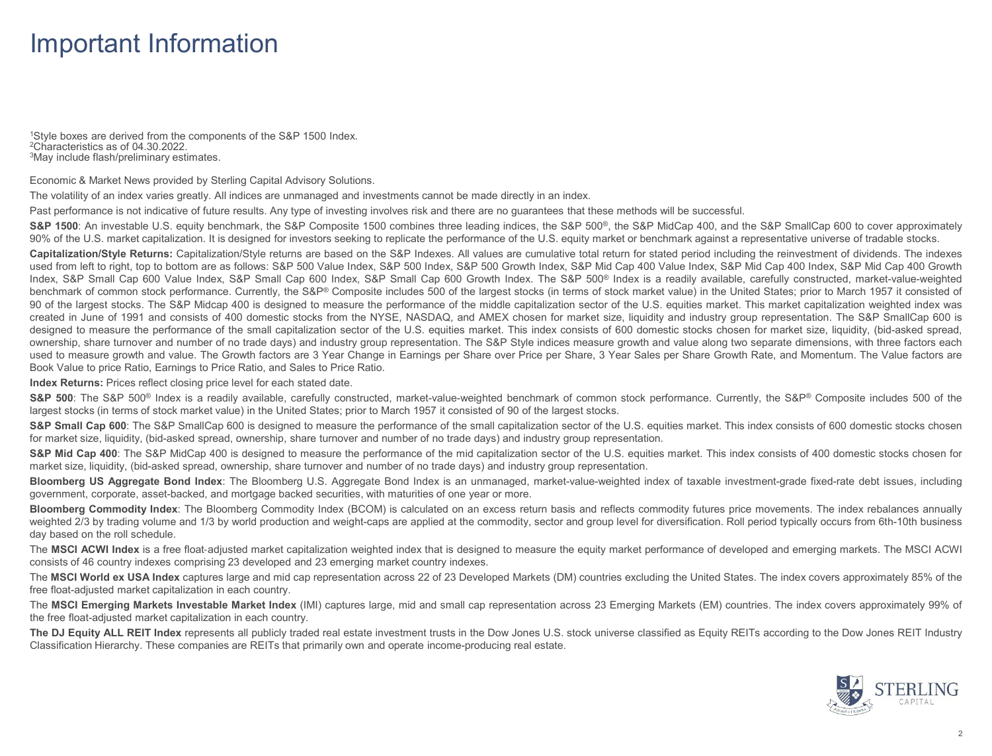## Important Information

1Style boxes are derived from the components of the S&P 1500 Index.<br><sup>2</sup>Characteristics as of 04.30.2022.<br><sup>3</sup>May include flash/preliminary estimates.

Economic & Market News provided by Sterling Capital Advisory Solutions.

The volatility of an index varies greatly. All indices are unmanaged and investments cannot be made directly in an index.

Past performance is not indicative of future results. Any type of investing involves risk and there are no guarantees that these methods will be successful.

S&P 1500: An investable U.S. equity benchmark, the S&P Composite 1500 combines three leading indices, the S&P 500<sup>®</sup>, the S&P MidCap 400, and the S&P SmallCap 600 to cover approximately 90% of the U.S. market capitalization. It is designed for investors seeking to replicate the performance of the U.S. equity market or benchmark against a representative universe of tradable stocks.

**Capitalization/Style Returns:** Capitalization/Style returns are based on the S&P Indexes. All values are cumulative total return for stated period including the reinvestment of dividends. The indexes used from left to right, top to bottom are as follows: S&P 500 Value Index, S&P 500 Index, S&P S00 Growth Index, S&P Mid Cap 400 Value Index, S&P Mid Cap 400 Index, S&P Mid Cap 400 Growth Index, S&P Small Cap 600 Value Index, S&P Small Cap 600 Index, S&P Small Cap 600 Growth Index. The S&P 500® Index is a readily available, carefully constructed, market-value-weighted benchmark of common stock performance. Currently, the S&P® Composite includes 500 of the largest stocks (in terms of stock market value) in the United States; prior to March 1957 it consisted of 90 of the largest stocks. The S&P Midcap 400 is designed to measure the performance of the middle capitalization sector of the U.S. equities market. This market capitalization weighted index was created in June of 1991 and consists of 400 domestic stocks from the NYSE, NASDAQ, and AMEX chosen for market size, liquidity and industry group representation. The S&P SmallCap 600 is designed to measure the performance of the small capitalization sector of the U.S. equities market. This index consists of 600 domestic stocks chosen for market size, liquidity, (bid-asked spread, ownership, share turnover and number of no trade days) and industry group representation. The S&P Style indices measure growth and value along two separate dimensions, with three factors each used to measure growth and value. The Growth factors are 3 Year Change in Earnings per Share over Price per Share, 3 Year Sales per Share Growth Rate, and Momentum. The Value factors are Book Value to price Ratio, Earnings to Price Ratio, and Sales to Price Ratio.

**Index Returns:** Prices reflect closing price level for each stated date.

S&P 500: The S&P 500<sup>®</sup> Index is a readily available, carefully constructed, market-value-weighted benchmark of common stock performance. Currently, the S&P® Composite includes 500 of the largest stocks (in terms of stock market value) in the United States; prior to March 1957 it consisted of 90 of the largest stocks.

S&P Small Cap 600: The S&P SmallCap 600 is designed to measure the performance of the small capitalization sector of the U.S. equities market. This index consists of 600 domestic stocks chosen for market size, liquidity, (bid-asked spread, ownership, share turnover and number of no trade days) and industry group representation.

S&P Mid Cap 400: The S&P MidCap 400 is designed to measure the performance of the mid capitalization sector of the U.S. equities market. This index consists of 400 domestic stocks chosen for market size, liquidity, (bid-asked spread, ownership, share turnover and number of no trade days) and industry group representation.

**Bloomberg US Aggregate Bond Index**: The Bloomberg U.S. Aggregate Bond Index is an unmanaged, market-value-weighted index of taxable investment-grade fixed-rate debt issues, including government, corporate, asset-backed, and mortgage backed securities, with maturities of one year or more.

**Bloomberg Commodity Index**: The Bloomberg Commodity Index (BCOM) is calculated on an excess return basis and reflects commodity futures price movements. The index rebalances annually weighted 2/3 by trading volume and 1/3 by world production and weight-caps are applied at the commodity, sector and group level for diversification. Roll period typically occurs from 6th-10th business day based on the roll schedule.

The MSCI ACWI Index is a free float-adjusted market capitalization weighted index that is designed to measure the equity market performance of developed and emerging markets. The MSCI ACWI consists of 46 country indexes comprising 23 developed and 23 emerging market country indexes.

The **MSCI World ex USA Index** captures large and mid cap representation across 22 of 23 Developed Markets (DM) countries excluding the United States. The index covers approximately 85% of the free float-adjusted market capitalization in each country.

The MSCI Emerging Markets Investable Market Index (IMI) captures large, mid and small cap representation across 23 Emerging Markets (EM) countries. The index covers approximately 99% of the free float-adjusted market capitalization in each country.

The DJ Equity ALL REIT Index represents all publicly traded real estate investment trusts in the Dow Jones U.S. stock universe classified as Equity REITs according to the Dow Jones REIT Industry Classification Hierarchy. These companies are REITs that primarily own and operate income-producing real estate.